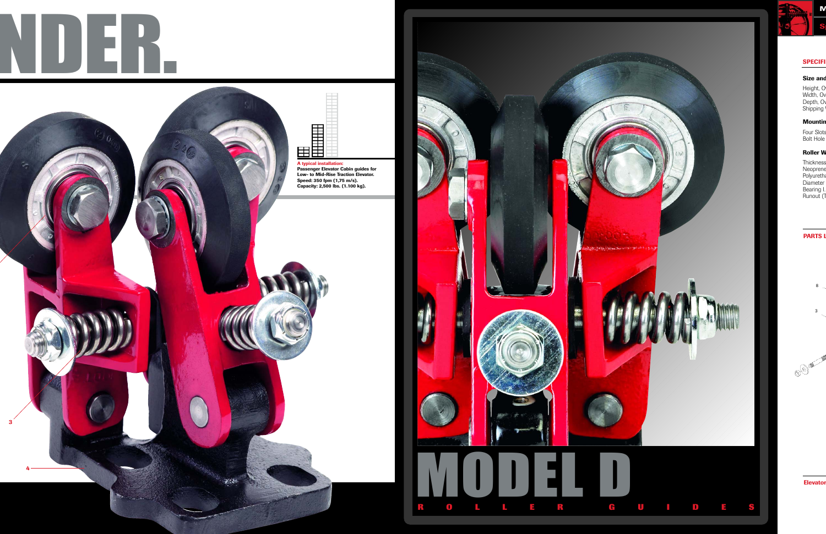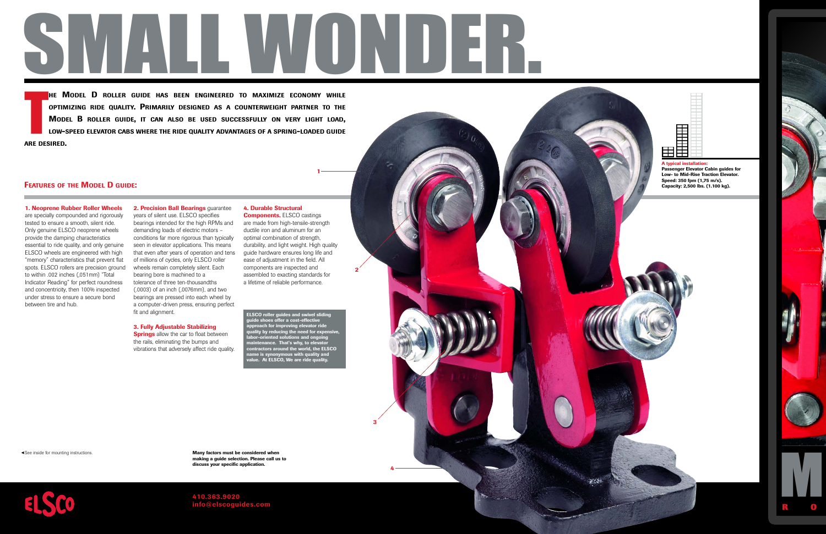

**MODEL D ROLLER GUIDE HAS BEEN ENGINEERED TO MAXIMIZE ECONOMY WHILE OPTIMIZING RIDE QUALITY. PRIMARILY DESIGNED AS <sup>A</sup> COUNTERWEIGHT PARTNER TO THE** MODEL B ROLLER GUIDE, IT CAN ALSO BE USED SUCCESSFULLY ON VERY LIGHT LOAD, LOW-SPEED ELEVATOR CABS WHERE THE RIDE QUALITY ADVANTAGES OF A SPRING-LOADED GUIDE **ARE DESIRED.** 

## **FEATURES OF THE MODEL D GUIDE:**

**COPNET COPNET COPNET COPNET COPNET CONTAINERT EXECUTES 1. Neoprenote specially contained assertial to ring ELSCO where specially contained assertial to ring and concentrumder stress between tire Section of the special spe 1. Neoprene Rubber Roller Wheels** are specially compounded and rigorously tested to ensure a smooth, silent ride. Only genuine ELSCO neoprene wheels provide the damping characteristics essential to ride quality, and only genuine ELSCO wheels are engineered with high "memory" characteristics that prevent flat spots. ELSCO rollers are precision ground to within .002 inches (,051mm) "Total Indicator Reading" for perfect roundness and concentricity, then 100% inspected under stress to ensure a secure bond between tire and hub.

years of silent use. ELSCO specifies bearings intended for the high RPMs and demanding loads of electric motors – conditions far more rigorous than typically seen in elevator applications. This means that even after years of operation and tens of millions of cycles, only ELSCO roller wheels remain completely silent. Each bearing bore is machined to a tolerance of three ten-thousandths (.0003) of an inch (,0076mm), and two bearings are pressed into each wheel by a computer-driven press, ensuring perfect fit and alignment.

**3. Fully Adjustable Stabilizing**

the rails, eliminating the bumps and

**2. Precision Ball Bearings** guarantee

# **4. Durable Structural**

**1**

**2**

**3**

**4**

**A typical installation:** 

■■■■■■■■■■ ■■■■■■■■■■

**HHHHH** 

■■■ ■■■

通信部

**Passenger Elevator Cabin guides for Low- to Mid-Rise Traction Elevator. Speed: 350 fpm (1,75 m/s). Capacity: 2,500 lbs. (1.100 kg).**

■■■■■■■■■■■■■■■■■■■■ ■■■■■■■■■■■■■■■■■■■■

**Components.** ELSCO castings are made from high-tensile-strength ductile iron and aluminum for an optimal combination of strength, durability, and light weight. High quality guide hardware ensures long life and ease of adjustment in the field. All components are inspected and assembled to exacting standards for a lifetime of reliable performance.

**Springs** allow the car to float between vibrations that adversely affect ride quality. **ELSCO roller guides and swivel sliding guide shoes offer a cost-effective approach for improving elevator ride quality by reducing the need for expensive, labor-oriented solutions and ongoing maintenance. That's why, to elevator contract around the world, the ELSCO**<br>**synonymous with quality and name is synonymous with quality and value. At ELSCO, We are ride quality.**

► See inside for mounting instructions.

**Many factors must be considered when making a guide selection. Please call us to discuss your specific application.** 



**410.363.9020 info@elscoguides.com**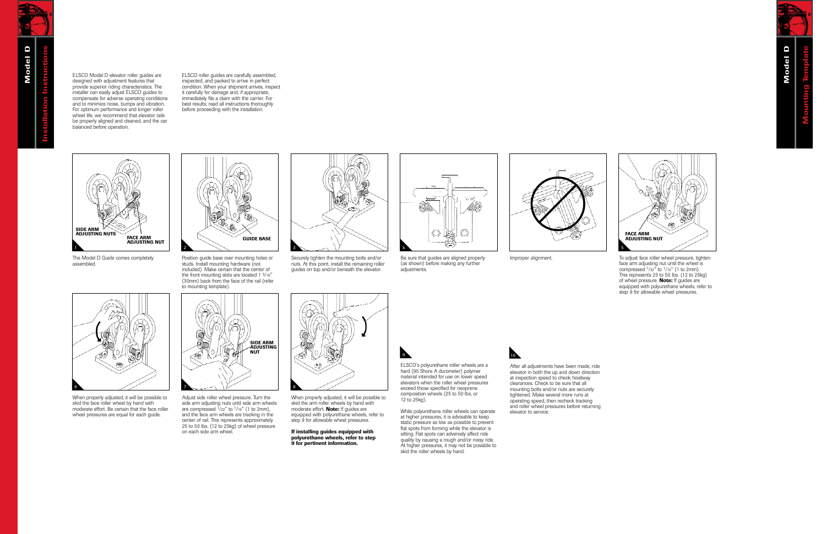ELSCO Model D elevator roller guides are designed with adjustment features that provide superior riding characteristics. The installer can easily adjust ELSCO guides to compensate for adverse operating conditions and to minimize noise, bumps and vibration. For optimum performance and longer roller wheel life, we recommend that elevator rails be properly aligned and cleaned, and the car balanced before operation.

ELSCO roller guides are carefully assembled, inspected, and packed to arrive in perfect condition. When your shipment arrives, inspect it carefully for damage and, if appropriate, immediately file a claim with the carrier. For best results, read all instructions thoroughly before proceeding with the installation.



The Model D Guide comes completely assembled.



Position guide base over mounting holes or studs. Install mounting hardware (not included). Make certain that the center of the front mounting slots are located 1 3/16" (30mm) back from the face of the rail (refer to mounting template).



Securely tighten the mounting bolts and/or nuts. At this point, install the remaining roller guides on top and/or beneath the elevator.



Be sure that guides are aligned properly (as shown) before making any further adjustments.





Improper alignment. To adjust face roller wheel pressure, tighten face arm adjusting nut until the wheel is compressed 1/32" to 1/16" (1 to 2mm). This represents 25 to 50 lbs. (12 to 25kg) of wheel pressure. **Note:** If guides are equipped with polyurethane wheels, refer to step 9 for allowable wheel pressures.



When properly adjusted, it will be possible to skid the face roller wheel by hand with moderate effort. Be certain that the face roller wheel pressures are equal for each guide.



Adjust side roller wheel pressure. Turn the side arm adjusting nuts until side arm wheels are compressed  $\frac{1}{32}$ " to  $\frac{1}{16}$ " (1 to 2mm), and the face arm wheels are tracking in the center of rail. This represents approximately 25 to 50 lbs. (12 to 25kg) of wheel pressure on each side arm wheel.



When properly adjusted, it will be possible to skid the arm roller wheels by hand with moderate effort. **Note:** If guides are equipped with polyurethane wheels, refer to step 9 for allowable wheel pressures.

**If installing guides equipped with polyurethane wheels, refer to step 9 for pertinent information.**



While polyurethane roller wheels can operate at higher pressures, it is advisable to keep static pressure as low as possible to prevent flat spots from forming while the elevator is sitting. Flat spots can adversely affect ride quality by causing a rough and/or noisy ride. At higher pressures, it may not be possible to skid the roller wheels by hand.



After all adjustments have been made, ride elevator in both the up and down direction at inspection speed to check hoistway clearances. Check to be sure that all mounting bolts and/or nuts are securely tightened. Make several more runs at operating speed, then recheck tracking and roller wheel pressures before returning elevator to service.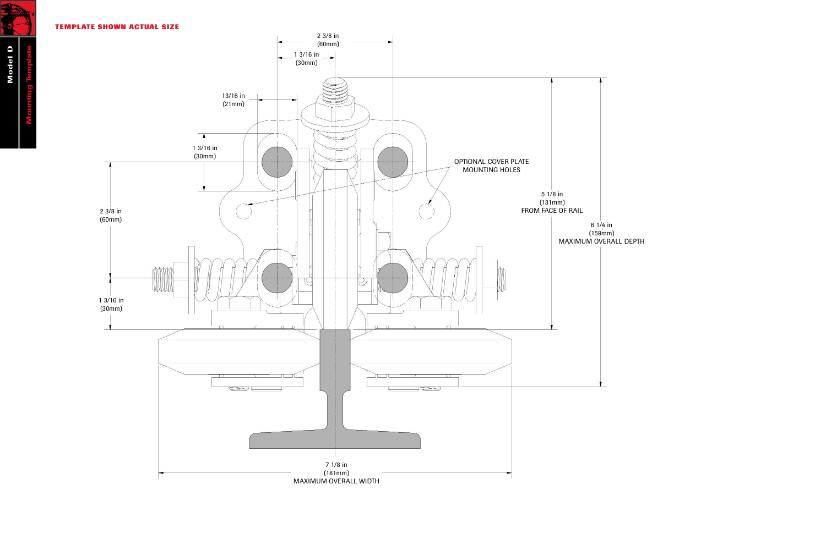**TEMPLATE SHOWN ACTUAL SIZE**



**Model D Mounting Template** ing Template

**ENE**